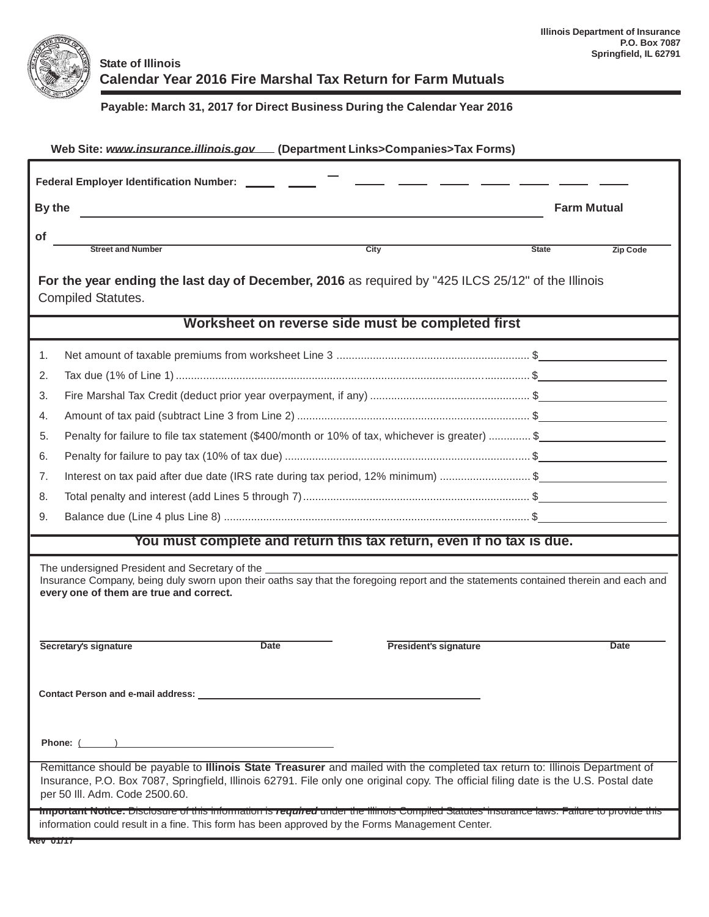

## **State of Illinois Calendar Year 2016 Fire Marshal Tax Return for Farm Mutuals**

## **Payable: March 31, 2017 for Direct Business During the Calendar Year 2016**

| Web Site: www.insurance.illinois.gov __ (Department Links>Companies>Tax Forms)                                                                                                                                                                                                                         |                                 |  |  |  |  |
|--------------------------------------------------------------------------------------------------------------------------------------------------------------------------------------------------------------------------------------------------------------------------------------------------------|---------------------------------|--|--|--|--|
| Federal Employer Identification Number: ______ ___                                                                                                                                                                                                                                                     |                                 |  |  |  |  |
| By the                                                                                                                                                                                                                                                                                                 | <b>Farm Mutual</b>              |  |  |  |  |
| <b>of</b>                                                                                                                                                                                                                                                                                              |                                 |  |  |  |  |
| <b>Street and Number</b><br>City                                                                                                                                                                                                                                                                       | <b>State</b><br><b>Zip Code</b> |  |  |  |  |
| For the year ending the last day of December, 2016 as required by "425 ILCS 25/12" of the Illinois<br><b>Compiled Statutes.</b>                                                                                                                                                                        |                                 |  |  |  |  |
| Worksheet on reverse side must be completed first                                                                                                                                                                                                                                                      |                                 |  |  |  |  |
| 1.                                                                                                                                                                                                                                                                                                     |                                 |  |  |  |  |
| 2.                                                                                                                                                                                                                                                                                                     |                                 |  |  |  |  |
| 3.                                                                                                                                                                                                                                                                                                     |                                 |  |  |  |  |
| 4.                                                                                                                                                                                                                                                                                                     |                                 |  |  |  |  |
| Penalty for failure to file tax statement (\$400/month or 10% of tax, whichever is greater)  \$<br>5.                                                                                                                                                                                                  |                                 |  |  |  |  |
| 6.                                                                                                                                                                                                                                                                                                     |                                 |  |  |  |  |
| Interest on tax paid after due date (IRS rate during tax period, 12% minimum) \$<br>7.                                                                                                                                                                                                                 |                                 |  |  |  |  |
| 8.                                                                                                                                                                                                                                                                                                     |                                 |  |  |  |  |
| 9.                                                                                                                                                                                                                                                                                                     |                                 |  |  |  |  |
| You must complete and return this tax return, even if no tax is due.                                                                                                                                                                                                                                   |                                 |  |  |  |  |
| The undersigned President and Secretary of the<br>Insurance Company, being duly sworn upon their oaths say that the foregoing report and the statements contained therein and each and<br>every one of them are true and correct.                                                                      |                                 |  |  |  |  |
| <b>Date</b><br>Secretary's signature<br><b>President's signature</b>                                                                                                                                                                                                                                   | <b>Date</b>                     |  |  |  |  |
| <b>Contact Person and e-mail address:</b>                                                                                                                                                                                                                                                              |                                 |  |  |  |  |
| Phone: ( )                                                                                                                                                                                                                                                                                             |                                 |  |  |  |  |
| Remittance should be payable to Illinois State Treasurer and mailed with the completed tax return to: Illinois Department of<br>Insurance, P.O. Box 7087, Springfield, Illinois 62791. File only one original copy. The official filing date is the U.S. Postal date<br>per 50 III. Adm. Code 2500.60. |                                 |  |  |  |  |
| important Notice: Disclosure of this information is required under the illinois Compiled Statutes insurance laws. Failure to provide this<br>information could result in a fine. This form has been approved by the Forms Management Center.<br><b>REV UITT</b>                                        |                                 |  |  |  |  |